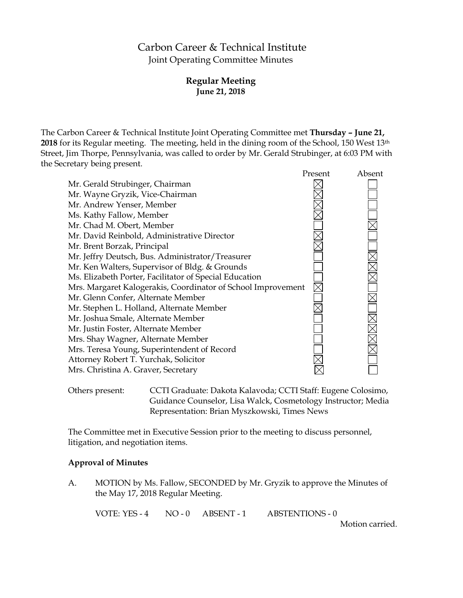# Carbon Career & Technical Institute Joint Operating Committee Minutes

## **Regular Meeting June 21, 2018**

The Carbon Career & Technical Institute Joint Operating Committee met **Thursday – June 21, 2018** for its Regular meeting. The meeting, held in the dining room of the School, 150 West 13th Street, Jim Thorpe, Pennsylvania, was called to order by Mr. Gerald Strubinger, at 6:03 PM with the Secretary being present.

|                                                              | Present | Absent |
|--------------------------------------------------------------|---------|--------|
| Mr. Gerald Strubinger, Chairman                              |         |        |
| Mr. Wayne Gryzik, Vice-Chairman                              |         |        |
| Mr. Andrew Yenser, Member                                    |         |        |
| Ms. Kathy Fallow, Member                                     |         |        |
| Mr. Chad M. Obert, Member                                    |         |        |
| Mr. David Reinbold, Administrative Director                  |         |        |
| Mr. Brent Borzak, Principal                                  |         |        |
| Mr. Jeffry Deutsch, Bus. Administrator/Treasurer             |         |        |
| Mr. Ken Walters, Supervisor of Bldg. & Grounds               |         |        |
| Ms. Elizabeth Porter, Facilitator of Special Education       |         |        |
| Mrs. Margaret Kalogerakis, Coordinator of School Improvement |         |        |
| Mr. Glenn Confer, Alternate Member                           |         |        |
| Mr. Stephen L. Holland, Alternate Member                     |         |        |
| Mr. Joshua Smale, Alternate Member                           |         |        |
| Mr. Justin Foster, Alternate Member                          |         |        |
| Mrs. Shay Wagner, Alternate Member                           |         |        |
| Mrs. Teresa Young, Superintendent of Record                  |         |        |
| Attorney Robert T. Yurchak, Solicitor                        |         |        |
| Mrs. Christina A. Graver, Secretary                          |         |        |
|                                                              |         |        |

Others present: CCTI Graduate: Dakota Kalavoda; CCTI Staff: Eugene Colosimo, Guidance Counselor, Lisa Walck, Cosmetology Instructor; Media Representation: Brian Myszkowski, Times News

The Committee met in Executive Session prior to the meeting to discuss personnel, litigation, and negotiation items.

#### **Approval of Minutes**

A. MOTION by Ms. Fallow, SECONDED by Mr. Gryzik to approve the Minutes of the May 17, 2018 Regular Meeting.

VOTE: YES - 4 NO - 0 ABSENT - 1 ABSTENTIONS - 0

Motion carried.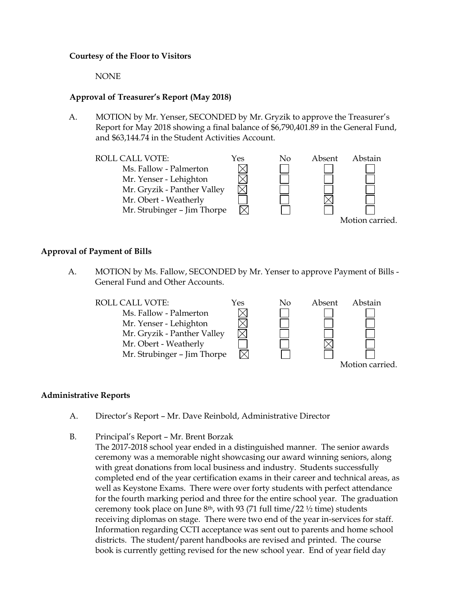#### **Courtesy of the Floor to Visitors**

NONE

#### **Approval of Treasurer's Report (May 2018)**

A. MOTION by Mr. Yenser, SECONDED by Mr. Gryzik to approve the Treasurer's Report for May 2018 showing a final balance of \$6,790,401.89 in the General Fund, and \$63,144.74 in the Student Activities Account.



#### **Approval of Payment of Bills**

A. MOTION by Ms. Fallow, SECONDED by Mr. Yenser to approve Payment of Bills - General Fund and Other Accounts.



#### **Administrative Reports**

- A. Director's Report Mr. Dave Reinbold, Administrative Director
- B. Principal's Report Mr. Brent Borzak
	- The 2017-2018 school year ended in a distinguished manner. The senior awards ceremony was a memorable night showcasing our award winning seniors, along with great donations from local business and industry. Students successfully completed end of the year certification exams in their career and technical areas, as well as Keystone Exams. There were over forty students with perfect attendance for the fourth marking period and three for the entire school year. The graduation ceremony took place on June  $8<sup>th</sup>$ , with 93 (71 full time/22  $\frac{1}{2}$  time) students receiving diplomas on stage. There were two end of the year in-services for staff. Information regarding CCTI acceptance was sent out to parents and home school districts. The student/parent handbooks are revised and printed. The course book is currently getting revised for the new school year. End of year field day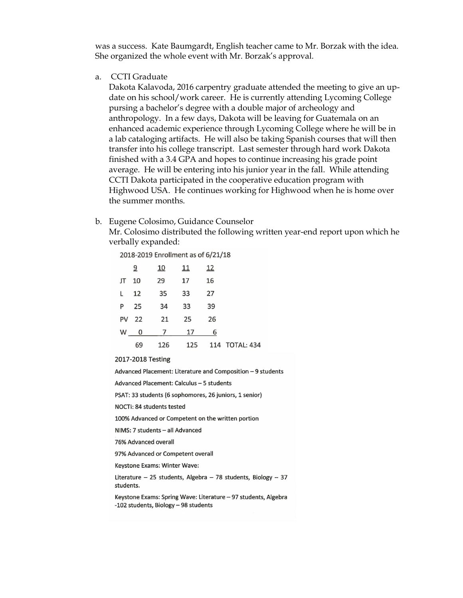was a success. Kate Baumgardt, English teacher came to Mr. Borzak with the idea. She organized the whole event with Mr. Borzak's approval.

a. CCTI Graduate

Dakota Kalavoda, 2016 carpentry graduate attended the meeting to give an update on his school/work career. He is currently attending Lycoming College pursing a bachelor's degree with a double major of archeology and anthropology. In a few days, Dakota will be leaving for Guatemala on an enhanced academic experience through Lycoming College where he will be in a lab cataloging artifacts. He will also be taking Spanish courses that will then transfer into his college transcript. Last semester through hard work Dakota finished with a 3.4 GPA and hopes to continue increasing his grade point average. He will be entering into his junior year in the fall. While attending CCTI Dakota participated in the cooperative education program with Highwood USA. He continues working for Highwood when he is home over the summer months.

#### b. Eugene Colosimo, Guidance Counselor

Mr. Colosimo distributed the following written year-end report upon which he verbally expanded:

2018-2019 Enrollment as of 6/21/18

|       | $\overline{a}$ | <u>10</u> | 11 | 12 |                    |
|-------|----------------|-----------|----|----|--------------------|
| JT 10 |                | 29        | 17 | 16 |                    |
|       | $L \quad 12$   | 35        | 33 | 27 |                    |
|       | P 25           | 34        | 33 | 39 |                    |
|       |                | PV 22 21  | 25 | 26 |                    |
|       |                | W 0 7 17  |    | 6  |                    |
|       | 69             | 126       |    |    | 125 114 TOTAL: 434 |

2017-2018 Testing

Advanced Placement: Literature and Composition - 9 students

Advanced Placement: Calculus - 5 students

PSAT: 33 students (6 sophomores, 26 juniors, 1 senior)

NOCTI: 84 students tested

100% Advanced or Competent on the written portion

NIMS: 7 students - all Advanced

76% Advanced overall

97% Advanced or Competent overall

Keystone Exams: Winter Wave:

Literature - 25 students, Algebra - 78 students, Biology - 37 students.

Keystone Exams: Spring Wave: Literature - 97 students, Algebra -102 students, Biology - 98 students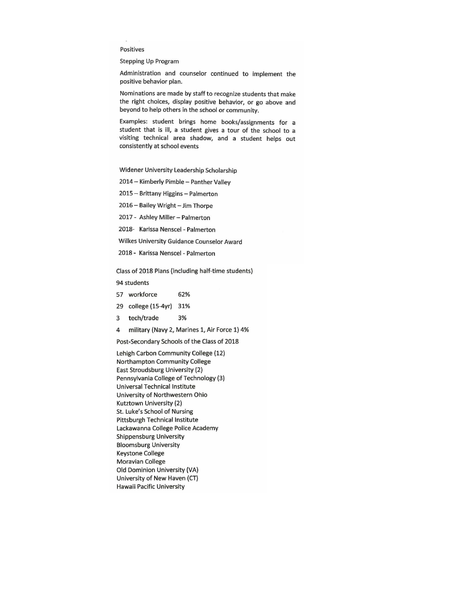Positives

**Stepping Up Program** 

Administration and counselor continued to implement the positive behavior plan.

Nominations are made by staff to recognize students that make the right choices, display positive behavior, or go above and beyond to help others in the school or community.

Examples: student brings home books/assignments for a student that is ill, a student gives a tour of the school to a visiting technical area shadow, and a student helps out consistently at school events

Widener University Leadership Scholarship

2014 - Kimberly Pimble - Panther Valley

2015 - Brittany Higgins - Palmerton

2016 - Bailey Wright - Jim Thorpe

2017 - Ashley Miller - Palmerton

2018- Karissa Nenscel - Palmerton

Wilkes University Guidance Counselor Award

2018 - Karissa Nenscel - Palmerton

Class of 2018 Plans (including half-time students)

94 students

57 workforce 62%

29 college (15-4yr) 31%

tech/trade 3% 3

 $\overline{4}$ military (Navy 2, Marines 1, Air Force 1) 4%

Post-Secondary Schools of the Class of 2018

Lehigh Carbon Community College (12) Northampton Community College East Stroudsburg University (2) Pennsylvania College of Technology (3) Universal Technical Institute University of Northwestern Ohio Kutztown University (2) St. Luke's School of Nursing Pittsburgh Technical Institute Lackawanna College Police Academy **Shippensburg University Bloomsburg University Keystone College Moravian College** Old Dominion University (VA) University of New Haven (CT) Hawaii Pacific University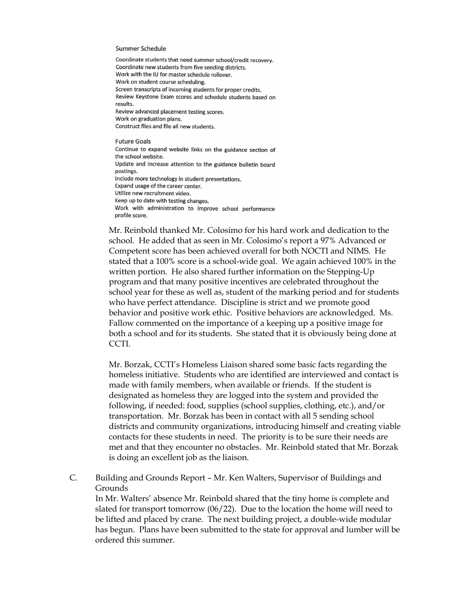#### Summer Schedule

Coordinate students that need summer school/credit recovery. Coordinate new students from five sending districts. Work with the IU for master schedule rollover. Work on student course scheduling. Screen transcripts of incoming students for proper credits. Review Keystone Exam scores and schedule students based on results. Review advanced placement testing scores. Work on graduation plans. Construct files and file all new students.

**Future Goals** Continue to expand website links on the guidance section of the school website. Update and increase attention to the guidance bulletin board postings. Include more technology in student presentations. Expand usage of the career center. Utilize new recruitment video. Keep up to date with testing changes. Work with administration to improve school performance profile score.

Mr. Reinbold thanked Mr. Colosimo for his hard work and dedication to the school. He added that as seen in Mr. Colosimo's report a 97% Advanced or Competent score has been achieved overall for both NOCTI and NIMS. He stated that a 100% score is a school-wide goal. We again achieved 100% in the written portion. He also shared further information on the Stepping-Up program and that many positive incentives are celebrated throughout the school year for these as well as, student of the marking period and for students who have perfect attendance. Discipline is strict and we promote good behavior and positive work ethic. Positive behaviors are acknowledged. Ms. Fallow commented on the importance of a keeping up a positive image for both a school and for its students. She stated that it is obviously being done at CCTI.

Mr. Borzak, CCTI's Homeless Liaison shared some basic facts regarding the homeless initiative. Students who are identified are interviewed and contact is made with family members, when available or friends. If the student is designated as homeless they are logged into the system and provided the following, if needed: food, supplies (school supplies, clothing, etc.), and/or transportation. Mr. Borzak has been in contact with all 5 sending school districts and community organizations, introducing himself and creating viable contacts for these students in need. The priority is to be sure their needs are met and that they encounter no obstacles. Mr. Reinbold stated that Mr. Borzak is doing an excellent job as the liaison.

C. Building and Grounds Report – Mr. Ken Walters, Supervisor of Buildings and Grounds

In Mr. Walters' absence Mr. Reinbold shared that the tiny home is complete and slated for transport tomorrow (06/22). Due to the location the home will need to be lifted and placed by crane. The next building project, a double-wide modular has begun. Plans have been submitted to the state for approval and lumber will be ordered this summer.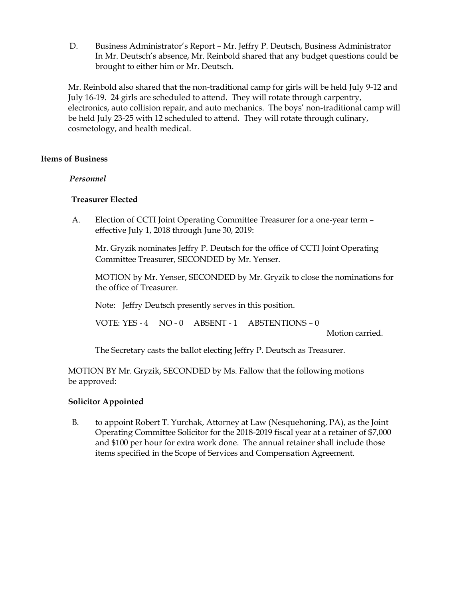D. Business Administrator's Report – Mr. Jeffry P. Deutsch, Business Administrator In Mr. Deutsch's absence, Mr. Reinbold shared that any budget questions could be brought to either him or Mr. Deutsch.

Mr. Reinbold also shared that the non-traditional camp for girls will be held July 9-12 and July 16-19. 24 girls are scheduled to attend. They will rotate through carpentry, electronics, auto collision repair, and auto mechanics. The boys' non-traditional camp will be held July 23-25 with 12 scheduled to attend. They will rotate through culinary, cosmetology, and health medical.

#### **Items of Business**

#### *Personnel*

## **Treasurer Elected**

A. Election of CCTI Joint Operating Committee Treasurer for a one-year term – effective July 1, 2018 through June 30, 2019:

Mr. Gryzik nominates Jeffry P. Deutsch for the office of CCTI Joint Operating Committee Treasurer, SECONDED by Mr. Yenser.

MOTION by Mr. Yenser, SECONDED by Mr. Gryzik to close the nominations for the office of Treasurer.

Note: Jeffry Deutsch presently serves in this position.

VOTE: YES - 4 NO - 0 ABSENT - 1 ABSTENTIONS – 0

Motion carried.

The Secretary casts the ballot electing Jeffry P. Deutsch as Treasurer.

MOTION BY Mr. Gryzik, SECONDED by Ms. Fallow that the following motions be approved:

## **Solicitor Appointed**

B. to appoint Robert T. Yurchak, Attorney at Law (Nesquehoning, PA), as the Joint Operating Committee Solicitor for the 2018-2019 fiscal year at a retainer of \$7,000 and \$100 per hour for extra work done. The annual retainer shall include those items specified in the Scope of Services and Compensation Agreement.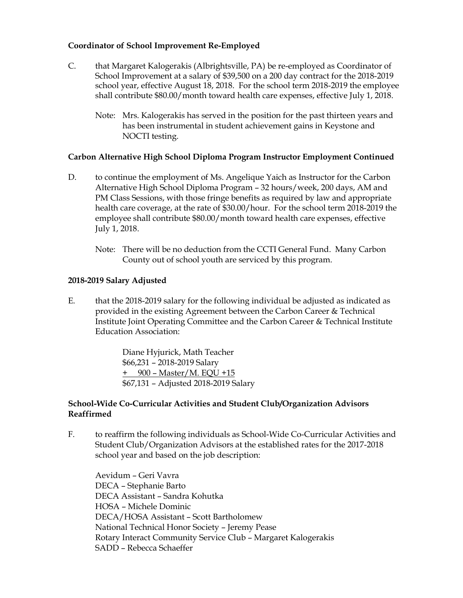## **Coordinator of School Improvement Re-Employed**

- C. that Margaret Kalogerakis (Albrightsville, PA) be re-employed as Coordinator of School Improvement at a salary of \$39,500 on a 200 day contract for the 2018-2019 school year, effective August 18, 2018. For the school term 2018-2019 the employee shall contribute \$80.00/month toward health care expenses, effective July 1, 2018.
	- Note: Mrs. Kalogerakis has served in the position for the past thirteen years and has been instrumental in student achievement gains in Keystone and NOCTI testing.

#### **Carbon Alternative High School Diploma Program Instructor Employment Continued**

- D. to continue the employment of Ms. Angelique Yaich as Instructor for the Carbon Alternative High School Diploma Program – 32 hours/week, 200 days, AM and PM Class Sessions, with those fringe benefits as required by law and appropriate health care coverage, at the rate of \$30.00/hour. For the school term 2018-2019 the employee shall contribute \$80.00/month toward health care expenses, effective July 1, 2018.
	- Note: There will be no deduction from the CCTI General Fund. Many Carbon County out of school youth are serviced by this program.

#### **2018-2019 Salary Adjusted**

E. that the 2018-2019 salary for the following individual be adjusted as indicated as provided in the existing Agreement between the Carbon Career & Technical Institute Joint Operating Committee and the Carbon Career & Technical Institute Education Association:

> Diane Hyjurick, Math Teacher \$66,231 – 2018-2019 Salary + 900 – Master/M. EQU +15 \$67,131 – Adjusted 2018-2019 Salary

#### **School-Wide Co-Curricular Activities and Student Club/Organization Advisors Reaffirmed**

F. to reaffirm the following individuals as School-Wide Co-Curricular Activities and Student Club/Organization Advisors at the established rates for the 2017-2018 school year and based on the job description:

Aevidum – Geri Vavra DECA – Stephanie Barto DECA Assistant – Sandra Kohutka HOSA – Michele Dominic DECA/HOSA Assistant – Scott Bartholomew National Technical Honor Society – Jeremy Pease Rotary Interact Community Service Club – Margaret Kalogerakis SADD – Rebecca Schaeffer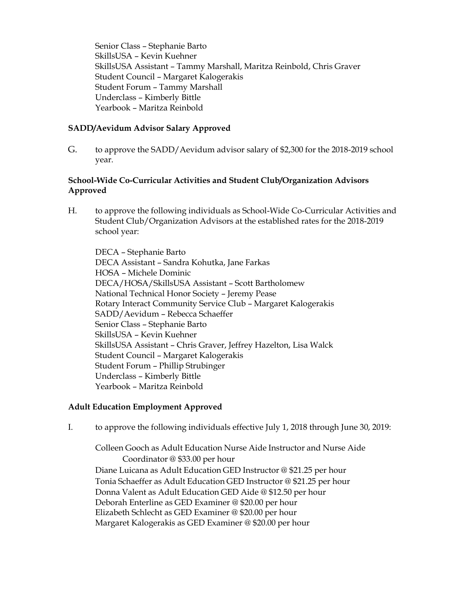Senior Class – Stephanie Barto SkillsUSA – Kevin Kuehner SkillsUSA Assistant – Tammy Marshall, Maritza Reinbold, Chris Graver Student Council – Margaret Kalogerakis Student Forum – Tammy Marshall Underclass – Kimberly Bittle Yearbook – Maritza Reinbold

#### **SADD/Aevidum Advisor Salary Approved**

G. to approve the SADD/Aevidum advisor salary of \$2,300 for the 2018-2019 school year.

## **School-Wide Co-Curricular Activities and Student Club/Organization Advisors Approved**

H. to approve the following individuals as School-Wide Co-Curricular Activities and Student Club/Organization Advisors at the established rates for the 2018-2019 school year:

DECA – Stephanie Barto DECA Assistant – Sandra Kohutka, Jane Farkas HOSA – Michele Dominic DECA/HOSA/SkillsUSA Assistant – Scott Bartholomew National Technical Honor Society – Jeremy Pease Rotary Interact Community Service Club – Margaret Kalogerakis SADD/Aevidum – Rebecca Schaeffer Senior Class – Stephanie Barto SkillsUSA – Kevin Kuehner SkillsUSA Assistant – Chris Graver, Jeffrey Hazelton, Lisa Walck Student Council – Margaret Kalogerakis Student Forum – Phillip Strubinger Underclass – Kimberly Bittle Yearbook – Maritza Reinbold

#### **Adult Education Employment Approved**

I. to approve the following individuals effective July 1, 2018 through June 30, 2019:

Colleen Gooch as Adult Education Nurse Aide Instructor and Nurse Aide Coordinator @ \$33.00 per hour Diane Luicana as Adult Education GED Instructor @ \$21.25 per hour Tonia Schaeffer as Adult Education GED Instructor @ \$21.25 per hour Donna Valent as Adult Education GED Aide @ \$12.50 per hour Deborah Enterline as GED Examiner @ \$20.00 per hour Elizabeth Schlecht as GED Examiner @ \$20.00 per hour Margaret Kalogerakis as GED Examiner @ \$20.00 per hour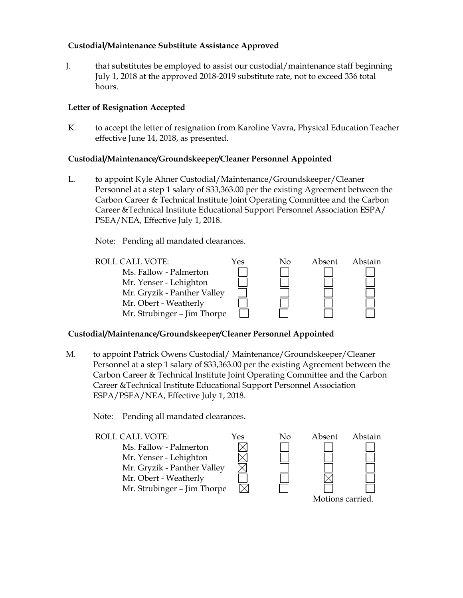## **Custodial/Maintenance Substitute Assistance Approved**

J. that substitutes be employed to assist our custodial/maintenance staff beginning July 1, 2018 at the approved 2018-2019 substitute rate, not to exceed 336 total hours.

## **Letter of Resignation Accepted**

K. to accept the letter of resignation from Karoline Vavra, Physical Education Teacher effective June 14, 2018, as presented.

#### **Custodial/Maintenance/Groundskeeper/Cleaner Personnel Appointed**

- L. to appoint Kyle Ahner Custodial/Maintenance/Groundskeeper/Cleaner Personnel at a step 1 salary of \$33,363.00 per the existing Agreement between the Carbon Career & Technical Institute Joint Operating Committee and the Carbon Career &Technical Institute Educational Support Personnel Association ESPA/ PSEA/NEA, Effective July 1, 2018.
	- Note: Pending all mandated clearances.



#### **Custodial/Maintenance/Groundskeeper/Cleaner Personnel Appointed**

M. to appoint Patrick Owens Custodial/ Maintenance/Groundskeeper/Cleaner Personnel at a step 1 salary of \$33,363.00 per the existing Agreement between the Carbon Career & Technical Institute Joint Operating Committee and the Carbon Career &Technical Institute Educational Support Personnel Association ESPA/PSEA/NEA, Effective July 1, 2018.

Note: Pending all mandated clearances.

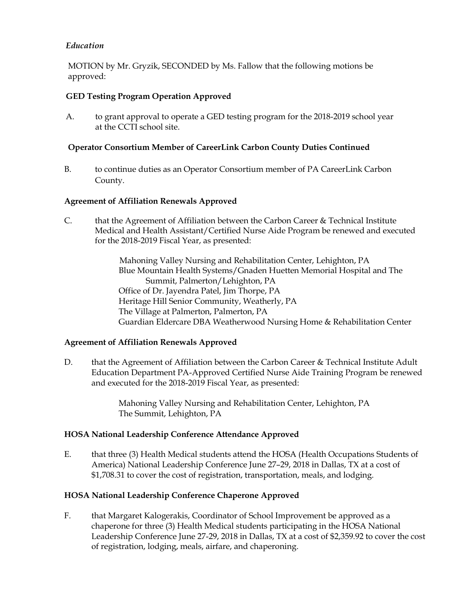## *Education*

MOTION by Mr. Gryzik, SECONDED by Ms. Fallow that the following motions be approved:

## **GED Testing Program Operation Approved**

A. to grant approval to operate a GED testing program for the 2018-2019 school year at the CCTI school site.

#### **Operator Consortium Member of CareerLink Carbon County Duties Continued**

B. to continue duties as an Operator Consortium member of PA CareerLink Carbon County.

#### **Agreement of Affiliation Renewals Approved**

C. that the Agreement of Affiliation between the Carbon Career & Technical Institute Medical and Health Assistant/Certified Nurse Aide Program be renewed and executed for the 2018-2019 Fiscal Year, as presented:

> Mahoning Valley Nursing and Rehabilitation Center, Lehighton, PA Blue Mountain Health Systems/Gnaden Huetten Memorial Hospital and The Summit, Palmerton/Lehighton, PA Office of Dr. Jayendra Patel, Jim Thorpe, PA Heritage Hill Senior Community, Weatherly, PA The Village at Palmerton, Palmerton, PA Guardian Eldercare DBA Weatherwood Nursing Home & Rehabilitation Center

#### **Agreement of Affiliation Renewals Approved**

D. that the Agreement of Affiliation between the Carbon Career & Technical Institute Adult Education Department PA-Approved Certified Nurse Aide Training Program be renewed and executed for the 2018-2019 Fiscal Year, as presented:

> Mahoning Valley Nursing and Rehabilitation Center, Lehighton, PA The Summit, Lehighton, PA

#### **HOSA National Leadership Conference Attendance Approved**

E. that three (3) Health Medical students attend the HOSA (Health Occupations Students of America) National Leadership Conference June 27–29, 2018 in Dallas, TX at a cost of \$1,708.31 to cover the cost of registration, transportation, meals, and lodging.

#### **HOSA National Leadership Conference Chaperone Approved**

F. that Margaret Kalogerakis, Coordinator of School Improvement be approved as a chaperone for three (3) Health Medical students participating in the HOSA National Leadership Conference June 27-29, 2018 in Dallas, TX at a cost of \$2,359.92 to cover the cost of registration, lodging, meals, airfare, and chaperoning.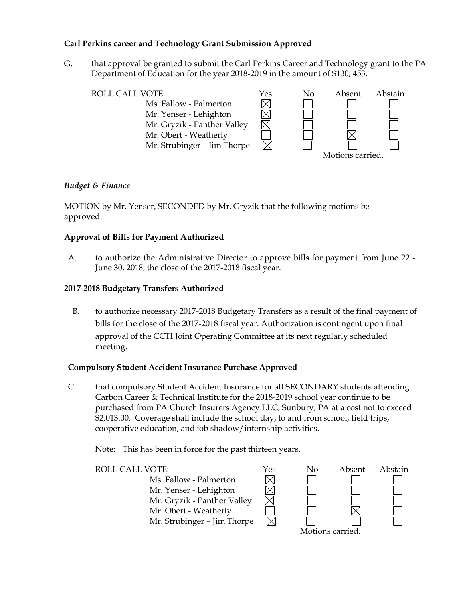## **Carl Perkins career and Technology Grant Submission Approved**

G. that approval be granted to submit the Carl Perkins Career and Technology grant to the PA Department of Education for the year 2018-2019 in the amount of \$130, 453.



#### *Budget & Finance*

MOTION by Mr. Yenser, SECONDED by Mr. Gryzik that the following motions be approved:

#### **Approval of Bills for Payment Authorized**

A. to authorize the Administrative Director to approve bills for payment from June 22 - June 30, 2018, the close of the 2017-2018 fiscal year.

#### **2017-2018 Budgetary Transfers Authorized**

B. to authorize necessary 2017-2018 Budgetary Transfers as a result of the final payment of bills for the close of the 2017-2018 fiscal year. Authorization is contingent upon final approval of the CCTI Joint Operating Committee at its next regularly scheduled meeting.

#### **Compulsory Student Accident Insurance Purchase Approved**

C. that compulsory Student Accident Insurance for all SECONDARY students attending Carbon Career & Technical Institute for the 2018-2019 school year continue to be purchased from PA Church Insurers Agency LLC, Sunbury, PA at a cost not to exceed \$2,013.00. Coverage shall include the school day, to and from school, field trips, cooperative education, and job shadow/internship activities.

Note: This has been in force for the past thirteen years.



Motions carried.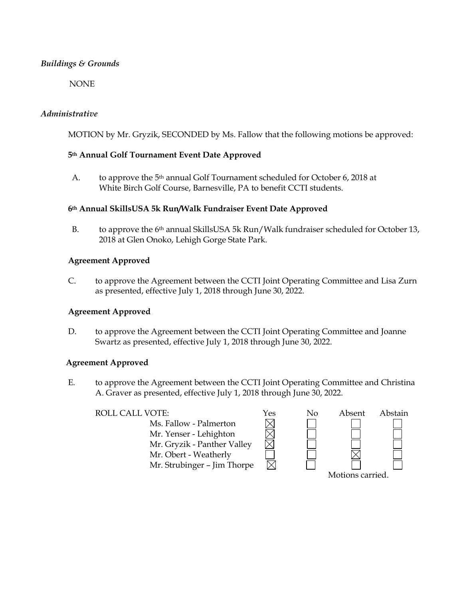## *Buildings & Grounds*

NONE

## *Administrative*

MOTION by Mr. Gryzik, SECONDED by Ms. Fallow that the following motions be approved:

## **5th Annual Golf Tournament Event Date Approved**

A. to approve the 5th annual Golf Tournament scheduled for October 6, 2018 at White Birch Golf Course, Barnesville, PA to benefit CCTI students.

#### **6th Annual SkillsUSA 5k Run/Walk Fundraiser Event Date Approved**

B. to approve the 6<sup>th</sup> annual SkillsUSA 5k Run/Walk fundraiser scheduled for October 13, 2018 at Glen Onoko, Lehigh Gorge State Park.

#### **Agreement Approved**

C. to approve the Agreement between the CCTI Joint Operating Committee and Lisa Zurn as presented, effective July 1, 2018 through June 30, 2022.

#### **Agreement Approved**

D. to approve the Agreement between the CCTI Joint Operating Committee and Joanne Swartz as presented, effective July 1, 2018 through June 30, 2022.

#### **Agreement Approved**

E. to approve the Agreement between the CCTI Joint Operating Committee and Christina A. Graver as presented, effective July 1, 2018 through June 30, 2022.

Ms. Fallow - Palmerton Mr. Yenser - Lehighton Mr. Gryzik - Panther Valley Mr. Obert - Weatherly Mr. Strubinger – Jim Thorpe

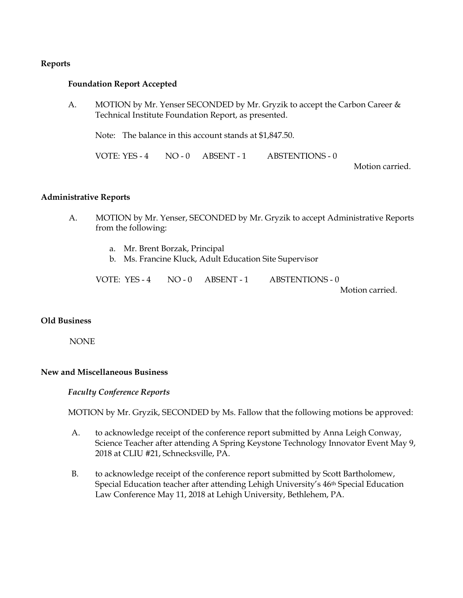#### **Reports**

#### **Foundation Report Accepted**

A. MOTION by Mr. Yenser SECONDED by Mr. Gryzik to accept the Carbon Career & Technical Institute Foundation Report, as presented.

Note: The balance in this account stands at \$1,847.50.

VOTE: YES - 4 NO - 0 ABSENT - 1 ABSTENTIONS - 0

Motion carried.

#### **Administrative Reports**

- A. MOTION by Mr. Yenser, SECONDED by Mr. Gryzik to accept Administrative Reports from the following:
	- a. Mr. Brent Borzak, Principal
	- b. Ms. Francine Kluck, Adult Education Site Supervisor

| VOTE: YES - 4 | $NO - 0$ $ABSENT - 1$ | ABSTENTIONS - 0 |
|---------------|-----------------------|-----------------|
|               |                       | Motion carried. |

#### **Old Business**

NONE

#### **New and Miscellaneous Business**

#### *Faculty Conference Reports*

MOTION by Mr. Gryzik, SECONDED by Ms. Fallow that the following motions be approved:

- A. to acknowledge receipt of the conference report submitted by Anna Leigh Conway, Science Teacher after attending A Spring Keystone Technology Innovator Event May 9, 2018 at CLIU #21, Schnecksville, PA.
- B. to acknowledge receipt of the conference report submitted by Scott Bartholomew, Special Education teacher after attending Lehigh University's 46th Special Education Law Conference May 11, 2018 at Lehigh University, Bethlehem, PA.